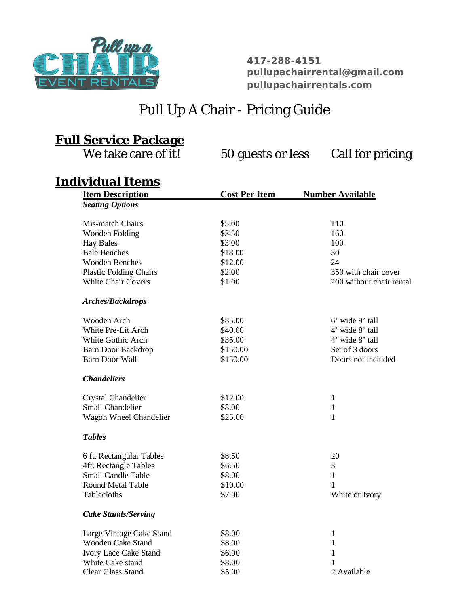

**417-288-4151 [pullupachairrental@gmail.com](mailto:pullupachairrental@gmail.com) [pullupachairrentals.com](http://pullupachairrentals.com/)**

## Pull Up A Chair - Pricing Guide

## **Full Service Package**

We take care of it! 50 guests or less Call for pricing

## **Individual Items**

| <b>Item Description</b>       | <b>Cost Per Item</b> | <b>Number Available</b>  |
|-------------------------------|----------------------|--------------------------|
| <b>Seating Options</b>        |                      |                          |
| Mis-match Chairs              | \$5.00               | 110                      |
| Wooden Folding                | \$3.50               | 160                      |
| <b>Hay Bales</b>              | \$3.00               | 100                      |
| <b>Bale Benches</b>           | \$18.00              | 30                       |
| <b>Wooden Benches</b>         | \$12.00              | 24                       |
| <b>Plastic Folding Chairs</b> | \$2.00               | 350 with chair cover     |
| <b>White Chair Covers</b>     | \$1.00               | 200 without chair rental |
| <b>Arches/Backdrops</b>       |                      |                          |
| Wooden Arch                   | \$85.00              | 6' wide 9' tall          |
| White Pre-Lit Arch            | \$40.00              | 4' wide 8' tall          |
| White Gothic Arch             | \$35.00              | 4' wide 8' tall          |
| <b>Barn Door Backdrop</b>     | \$150.00             | Set of 3 doors           |
| Barn Door Wall                | \$150.00             | Doors not included       |
| <b>Chandeliers</b>            |                      |                          |
| <b>Crystal Chandelier</b>     | \$12.00              | $\mathbf{1}$             |
| <b>Small Chandelier</b>       | \$8.00               | $\mathbf{1}$             |
| Wagon Wheel Chandelier        | \$25.00              | $\mathbf{1}$             |
| <b>Tables</b>                 |                      |                          |
| 6 ft. Rectangular Tables      | \$8.50               | 20                       |
| 4ft. Rectangle Tables         | \$6.50               | 3                        |
| <b>Small Candle Table</b>     | \$8.00               | $\mathbf{1}$             |
| <b>Round Metal Table</b>      | \$10.00              | 1                        |
| Tablecloths                   | \$7.00               | White or Ivory           |
| <b>Cake Stands/Serving</b>    |                      |                          |
| Large Vintage Cake Stand      | \$8.00               | $\mathbf{1}$             |
| Wooden Cake Stand             | \$8.00               | 1                        |
| <b>Ivory Lace Cake Stand</b>  | \$6.00               | 1                        |
| White Cake stand              | \$8.00               | 1                        |
| <b>Clear Glass Stand</b>      | \$5.00               | 2 Available              |